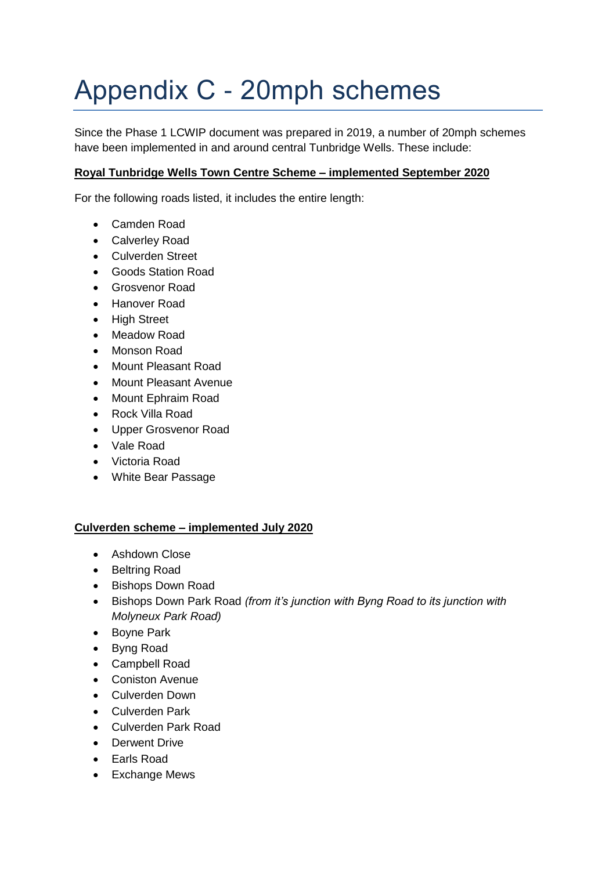## Appendix C - 20mph schemes

Since the Phase 1 LCWIP document was prepared in 2019, a number of 20mph schemes have been implemented in and around central Tunbridge Wells. These include:

## **Royal Tunbridge Wells Town Centre Scheme – implemented September 2020**

For the following roads listed, it includes the entire length:

- Camden Road
- Calverley Road
- Culverden Street
- Goods Station Road
- Grosvenor Road
- Hanover Road
- High Street
- Meadow Road
- Monson Road
- Mount Pleasant Road
- Mount Pleasant Avenue
- Mount Ephraim Road
- Rock Villa Road
- Upper Grosvenor Road
- Vale Road
- Victoria Road
- White Bear Passage

## **Culverden scheme – implemented July 2020**

- Ashdown Close
- Beltring Road
- Bishops Down Road
- Bishops Down Park Road *(from it's junction with Byng Road to its junction with Molyneux Park Road)*
- Boyne Park
- Byng Road
- Campbell Road
- Coniston Avenue
- Culverden Down
- Culverden Park
- Culverden Park Road
- **•** Derwent Drive
- Earls Road
- Exchange Mews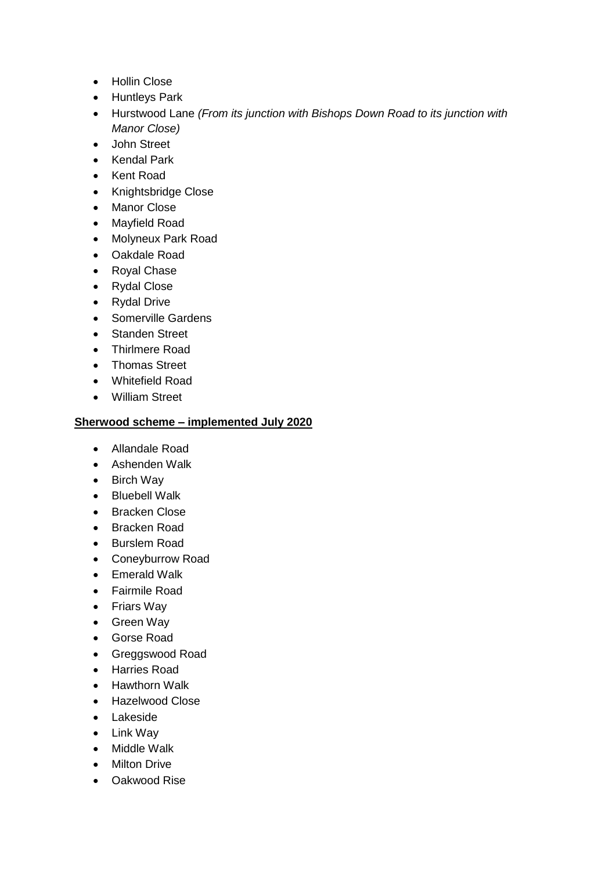- Hollin Close
- Huntleys Park
- Hurstwood Lane *(From its junction with Bishops Down Road to its junction with Manor Close)*
- John Street
- Kendal Park
- Kent Road
- Knightsbridge Close
- Manor Close
- Mayfield Road
- Molyneux Park Road
- Oakdale Road
- Royal Chase
- Rydal Close
- Rydal Drive
- Somerville Gardens
- Standen Street
- Thirlmere Road
- Thomas Street
- Whitefield Road
- William Street

## **Sherwood scheme – implemented July 2020**

- Allandale Road
- Ashenden Walk
- Birch Way
- Bluebell Walk
- Bracken Close
- Bracken Road
- Burslem Road
- Coneyburrow Road
- Emerald Walk
- Fairmile Road
- Friars Way
- Green Way
- Gorse Road
- Greggswood Road
- Harries Road
- Hawthorn Walk
- Hazelwood Close
- Lakeside
- Link Way
- Middle Walk
- Milton Drive
- Oakwood Rise